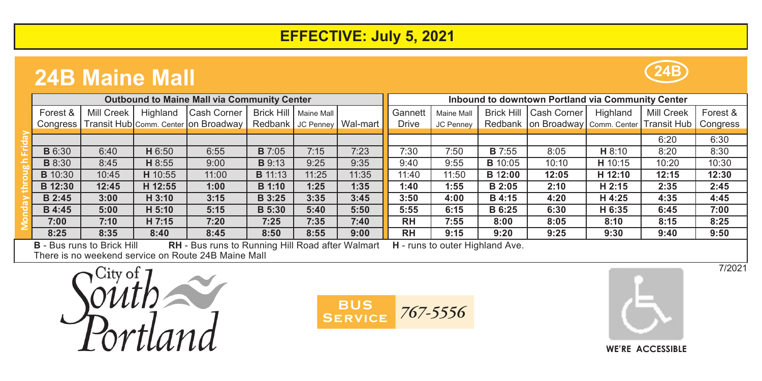## **EFFECTIVE: July 5, 2021**

## **24B Maine Mall**

| <b>Outbound to Maine Mall via Community Center</b> |                                 |          |                                                          |                |                         |                                | Inbound to downtown Portland via Community Center |                                                                                                                                                                                                                               |                   |                                                               |                   |            |          |
|----------------------------------------------------|---------------------------------|----------|----------------------------------------------------------|----------------|-------------------------|--------------------------------|---------------------------------------------------|-------------------------------------------------------------------------------------------------------------------------------------------------------------------------------------------------------------------------------|-------------------|---------------------------------------------------------------|-------------------|------------|----------|
| Forest &                                           | Mill Creek                      | Highland | Cash Corner                                              |                | Brick Hill   Maine Mall |                                | Gannett                                           | Maine Mall                                                                                                                                                                                                                    | <b>Brick Hill</b> | Cash Corner                                                   | Highland          | Mill Creek | Forest & |
|                                                    |                                 |          | Congress   Transit Hub Comm. Center on Broadway          |                |                         | Redbank   JC Penney   Wal-mart | <b>Drive</b>                                      | JC Penney                                                                                                                                                                                                                     |                   | Redbank   on Broadway   Comm. Center   Transit Hub   Congress |                   |            |          |
|                                                    |                                 |          |                                                          |                |                         |                                |                                                   |                                                                                                                                                                                                                               |                   |                                                               |                   |            |          |
|                                                    |                                 |          |                                                          |                |                         |                                |                                                   |                                                                                                                                                                                                                               |                   |                                                               |                   | 6:20       | 6:30     |
| <b>B</b> 6:30                                      | 6:40                            | H 6:50   | 6:55                                                     | <b>B</b> 7:05  | 7:15                    | 7:23                           | 7:30                                              | 7:50                                                                                                                                                                                                                          | <b>B</b> 7:55     | 8:05                                                          | H 8:10            | 8:20       | 8:30     |
| <b>B</b> 8:30                                      | 8:45                            | H 8:55   | 9:00                                                     | <b>B</b> 9:13  | 9:25                    | 9:35                           | 9:40                                              | 9:55                                                                                                                                                                                                                          | <b>B</b> 10:05    | 10:10                                                         | H 10:15           | 10:20      | 10:30    |
| <b>B</b> 10:30                                     | 10:45                           | H 10:55  | 11:00                                                    | <b>B</b> 11:13 | 11:25                   | 11:35                          | 11:40                                             | 11:50                                                                                                                                                                                                                         | <b>B</b> 12:00    | 12:05                                                         | H 12:10           | 12:15      | 12:30    |
| B 12:30                                            | 12:45                           | H 12:55  | 1:00                                                     | <b>B</b> 1:10  | 1:25                    | 1:35                           | 1:40                                              | 1:55                                                                                                                                                                                                                          | B 2:05            | 2:10                                                          | H <sub>2:15</sub> | 2:35       | 2:45     |
| B 2:45                                             | 3:00                            | $H_3:10$ | 3:15                                                     | <b>B</b> 3:25  | 3:35                    | 3:45                           | 3:50                                              | 4:00                                                                                                                                                                                                                          | B 4:15            | 4:20                                                          | H 4:25            | 4:35       | 4:45     |
| <b>B</b> 4:45                                      | 5:00                            | H 5:10   | 5:15                                                     | <b>B</b> 5:30  | 5:40                    | 5:50                           | 5:55                                              | 6:15                                                                                                                                                                                                                          | B 6:25            | 6:30                                                          | H 6:35            | 6:45       | 7:00     |
| 7:00                                               | 7:10                            | H 7:15   | 7:20                                                     | 7:25           | 7:35                    | 7:40                           | <b>RH</b>                                         | 7:55                                                                                                                                                                                                                          | 8:00              | 8:05                                                          | 8:10              | 8:15       | 8:25     |
| 8:25                                               | 8:35                            | 8:40     | 8:45                                                     | 8:50           | 8:55                    | 9:00                           | <b>RH</b>                                         | 9:15                                                                                                                                                                                                                          | 9:20              | 9:25                                                          | 9:30              | 9:40       | 9:50     |
|                                                    | <b>B</b> Bus also to Balch Hill |          | <b>DILL Durante Duration Hill Dood official Margaret</b> |                |                         |                                |                                                   | The companies of the continued to the formulation of the control of the control of the control of the control of the control of the control of the control of the control of the control of the control of the control of the |                   |                                                               |                   |            |          |

**B** - Bus runs to Brick Hill **RH** - Bus runs to Running Hill Road after Walmart **H** - runs to outer Highland Ave. There is no weekend service on Route 24B Maine Mall

lity of and





**24B**



7/2021